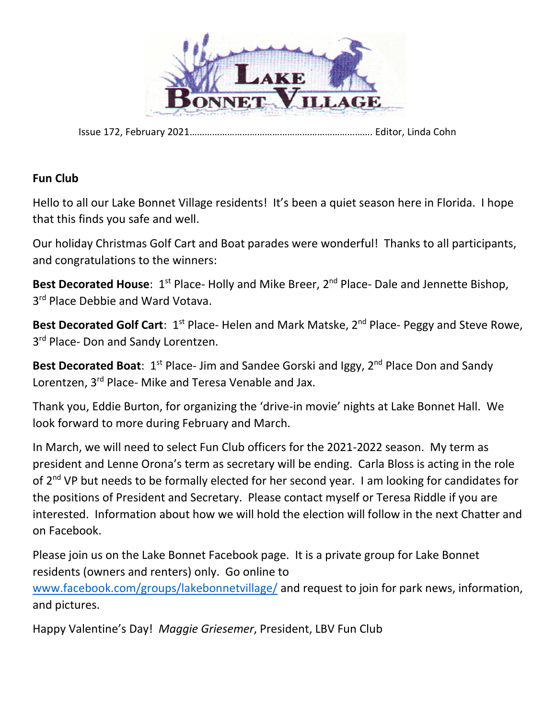

Issue 172, February 2021………………………………………………………………. Editor, Linda Cohn

#### **Fun Club**

Hello to all our Lake Bonnet Village residents! It's been a quiet season here in Florida. I hope that this finds you safe and well.

Our holiday Christmas Golf Cart and Boat parades were wonderful! Thanks to all participants, and congratulations to the winners:

**Best Decorated House**: 1<sup>st</sup> Place- Holly and Mike Breer, 2<sup>nd</sup> Place- Dale and Jennette Bishop, 3<sup>rd</sup> Place Debbie and Ward Votava.

Best Decorated Golf Cart: 1<sup>st</sup> Place- Helen and Mark Matske, 2<sup>nd</sup> Place- Peggy and Steve Rowe, 3<sup>rd</sup> Place- Don and Sandy Lorentzen.

**Best Decorated Boat**: 1<sup>st</sup> Place- Jim and Sandee Gorski and Iggy, 2<sup>nd</sup> Place Don and Sandy Lorentzen, 3<sup>rd</sup> Place- Mike and Teresa Venable and Jax.

Thank you, Eddie Burton, for organizing the 'drive-in movie' nights at Lake Bonnet Hall. We look forward to more during February and March.

In March, we will need to select Fun Club officers for the 2021-2022 season. My term as president and Lenne Orona's term as secretary will be ending. Carla Bloss is acting in the role of 2<sup>nd</sup> VP but needs to be formally elected for her second year. I am looking for candidates for the positions of President and Secretary. Please contact myself or Teresa Riddle if you are interested. Information about how we will hold the election will follow in the next Chatter and on Facebook.

Please join us on the Lake Bonnet Facebook page. It is a private group for Lake Bonnet residents (owners and renters) only. Go online to [www.facebook.com/groups/lakebonnetvillage/](http://www.facebook.com/groups/lakebonnetvillage/) and request to join for park news, information, and pictures.

Happy Valentine's Day! *Maggie Griesemer*, President, LBV Fun Club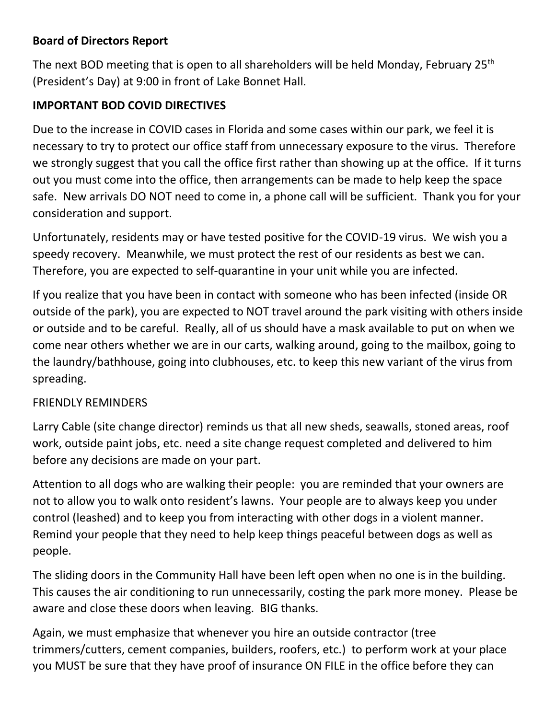## **Board of Directors Report**

The next BOD meeting that is open to all shareholders will be held Monday, February 25<sup>th</sup> (President's Day) at 9:00 in front of Lake Bonnet Hall.

# **IMPORTANT BOD COVID DIRECTIVES**

Due to the increase in COVID cases in Florida and some cases within our park, we feel it is necessary to try to protect our office staff from unnecessary exposure to the virus. Therefore we strongly suggest that you call the office first rather than showing up at the office. If it turns out you must come into the office, then arrangements can be made to help keep the space safe. New arrivals DO NOT need to come in, a phone call will be sufficient. Thank you for your consideration and support.

Unfortunately, residents may or have tested positive for the COVID-19 virus. We wish you a speedy recovery. Meanwhile, we must protect the rest of our residents as best we can. Therefore, you are expected to self-quarantine in your unit while you are infected.

If you realize that you have been in contact with someone who has been infected (inside OR outside of the park), you are expected to NOT travel around the park visiting with others inside or outside and to be careful. Really, all of us should have a mask available to put on when we come near others whether we are in our carts, walking around, going to the mailbox, going to the laundry/bathhouse, going into clubhouses, etc. to keep this new variant of the virus from spreading.

### FRIENDLY REMINDERS

Larry Cable (site change director) reminds us that all new sheds, seawalls, stoned areas, roof work, outside paint jobs, etc. need a site change request completed and delivered to him before any decisions are made on your part.

Attention to all dogs who are walking their people: you are reminded that your owners are not to allow you to walk onto resident's lawns. Your people are to always keep you under control (leashed) and to keep you from interacting with other dogs in a violent manner. Remind your people that they need to help keep things peaceful between dogs as well as people.

The sliding doors in the Community Hall have been left open when no one is in the building. This causes the air conditioning to run unnecessarily, costing the park more money. Please be aware and close these doors when leaving. BIG thanks.

Again, we must emphasize that whenever you hire an outside contractor (tree trimmers/cutters, cement companies, builders, roofers, etc.) to perform work at your place you MUST be sure that they have proof of insurance ON FILE in the office before they can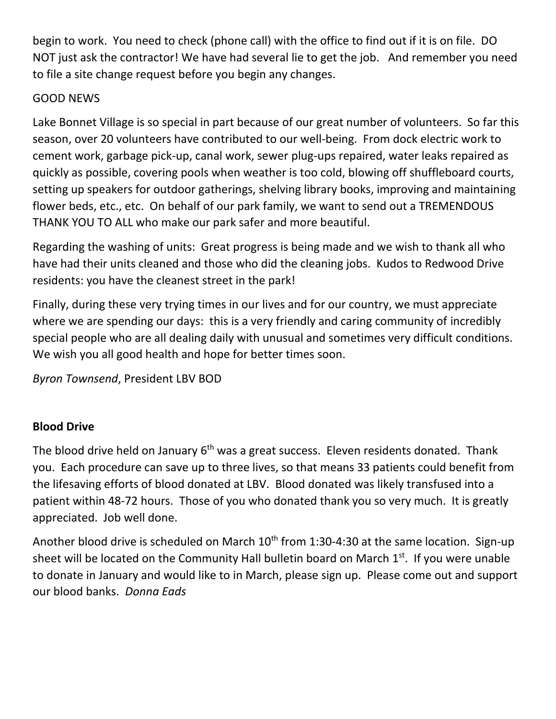begin to work. You need to check (phone call) with the office to find out if it is on file. DO NOT just ask the contractor! We have had several lie to get the job. And remember you need to file a site change request before you begin any changes.

## GOOD NEWS

Lake Bonnet Village is so special in part because of our great number of volunteers. So far this season, over 20 volunteers have contributed to our well-being. From dock electric work to cement work, garbage pick-up, canal work, sewer plug-ups repaired, water leaks repaired as quickly as possible, covering pools when weather is too cold, blowing off shuffleboard courts, setting up speakers for outdoor gatherings, shelving library books, improving and maintaining flower beds, etc., etc. On behalf of our park family, we want to send out a TREMENDOUS THANK YOU TO ALL who make our park safer and more beautiful.

Regarding the washing of units: Great progress is being made and we wish to thank all who have had their units cleaned and those who did the cleaning jobs. Kudos to Redwood Drive residents: you have the cleanest street in the park!

Finally, during these very trying times in our lives and for our country, we must appreciate where we are spending our days: this is a very friendly and caring community of incredibly special people who are all dealing daily with unusual and sometimes very difficult conditions. We wish you all good health and hope for better times soon.

*Byron Townsend*, President LBV BOD

# **Blood Drive**

The blood drive held on January  $6<sup>th</sup>$  was a great success. Eleven residents donated. Thank you. Each procedure can save up to three lives, so that means 33 patients could benefit from the lifesaving efforts of blood donated at LBV. Blood donated was likely transfused into a patient within 48-72 hours. Those of you who donated thank you so very much. It is greatly appreciated. Job well done.

Another blood drive is scheduled on March  $10^{th}$  from 1:30-4:30 at the same location. Sign-up sheet will be located on the Community Hall bulletin board on March  $1<sup>st</sup>$ . If you were unable to donate in January and would like to in March, please sign up. Please come out and support our blood banks. *Donna Eads*